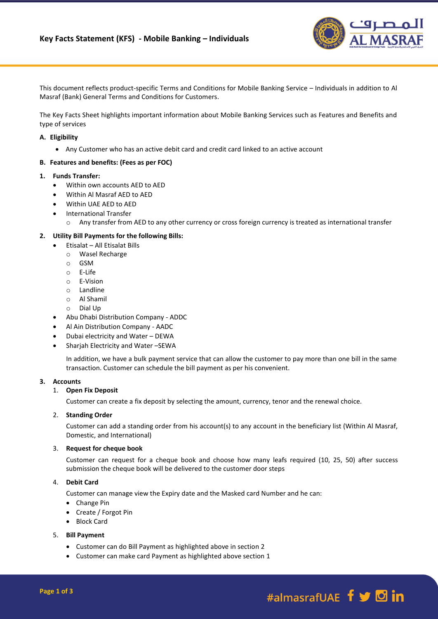

This document reflects product-specific Terms and Conditions for Mobile Banking Service – Individuals in addition to Al Masraf (Bank) General Terms and Conditions for Customers.

The Key Facts Sheet highlights important information about Mobile Banking Services such as Features and Benefits and type of services

### **A. Eligibility**

Any Customer who has an active debit card and credit card linked to an active account

#### **B. Features and benefits: (Fees as per FOC)**

### **1. Funds Transfer:**

- Within own accounts AED to AED
- Within Al Masraf AED to AED
- Within UAE AED to AED
- **•** International Transfer
	- o Any transfer from AED to any other currency or cross foreign currency is treated as international transfer

## **2. Utility Bill Payments for the following Bills:**

- Etisalat All Etisalat Bills
- o Wasel Recharge
- o GSM
- o E-Life
- o E-Vision
- o Landline
- o Al Shamil
- o Dial Up
- Abu Dhabi Distribution Company ADDC
- Al Ain Distribution Company AADC
- Dubai electricity and Water DEWA
- Sharjah Electricity and Water –SEWA

In addition, we have a bulk payment service that can allow the customer to pay more than one bill in the same transaction. Customer can schedule the bill payment as per his convenient.

## **3. Accounts**

## 1. **Open Fix Deposit**

Customer can create a fix deposit by selecting the amount, currency, tenor and the renewal choice.

#### 2. **Standing Order**

Customer can add a standing order from his account(s) to any account in the beneficiary list (Within Al Masraf, Domestic, and International)

#### 3. **Request for cheque book**

Customer can request for a cheque book and choose how many leafs required (10, 25, 50) after success submission the cheque book will be delivered to the customer door steps

## 4. **Debit Card**

Customer can manage view the Expiry date and the Masked card Number and he can:

- Change Pin
- Create / Forgot Pin
- Block Card

## 5. **Bill Payment**

- Customer can do Bill Payment as highlighted above in section 2
- Customer can make card Payment as highlighted above section 1

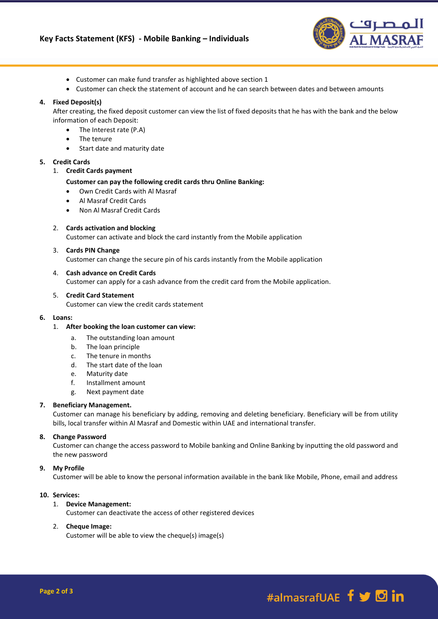

- Customer can make fund transfer as highlighted above section 1
- Customer can check the statement of account and he can search between dates and between amounts

## **4. Fixed Deposit(s)**

After creating, the fixed deposit customer can view the list of fixed deposits that he has with the bank and the below information of each Deposit:

- The Interest rate (P.A)
- The tenure
- Start date and maturity date

#### **5. Credit Cards**

#### 1. **Credit Cards payment**

## **Customer can pay the following credit cards thru Online Banking:**

- Own Credit Cards with Al Masraf
- Al Masraf Credit Cards
- Non Al Masraf Credit Cards

## 2. **Cards activation and blocking**

Customer can activate and block the card instantly from the Mobile application

## 3. **Cards PIN Change**

Customer can change the secure pin of his cards instantly from the Mobile application

## 4. **Cash advance on Credit Cards**

Customer can apply for a cash advance from the credit card from the Mobile application.

#### 5. **Credit Card Statement**

Customer can view the credit cards statement

#### **6. Loans:**

#### 1. **After booking the loan customer can view:**

- a. The outstanding loan amount
- b. The loan principle
- c. The tenure in months
- d. The start date of the loan
- e. Maturity date
- f. Installment amount
- g. Next payment date

#### **7. Beneficiary Management.**

Customer can manage his beneficiary by adding, removing and deleting beneficiary. Beneficiary will be from utility bills, local transfer within Al Masraf and Domestic within UAE and international transfer.

#### **8. Change Password**

Customer can change the access password to Mobile banking and Online Banking by inputting the old password and the new password

## **9. My Profile**

Customer will be able to know the personal information available in the bank like Mobile, Phone, email and address

#### **10. Services:**

# 1. **Device Management:**

Customer can deactivate the access of other registered devices

## 2. **Cheque Image:**

Customer will be able to view the cheque(s) image(s)